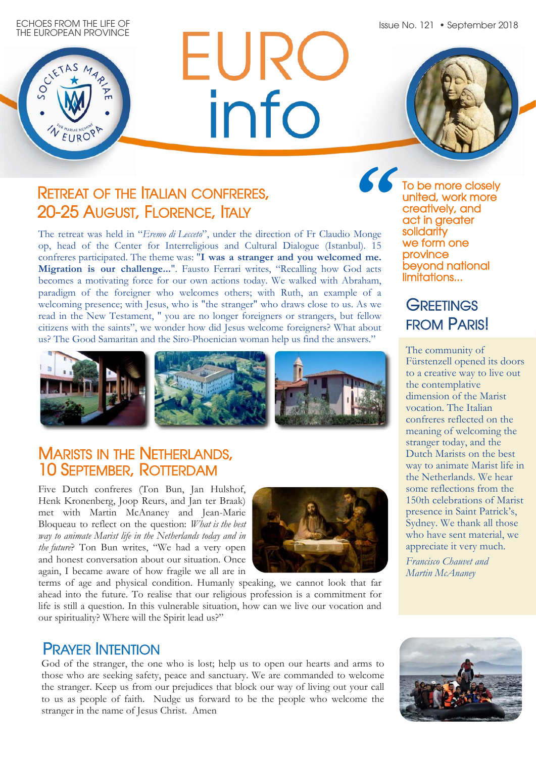Issue No. 121 • September 2018



# EURC info

## RETREAT OF THE ITALIAN CONFRERES, 20-25 AUGUST, FLORENCE, ITALY

The retreat was held in "*Eremo di Lecceto*", under the direction of Fr Claudio Monge op, head of the Center for Interreligious and Cultural Dialogue (Istanbul). 15 confreres participated. The theme was: "**I was a stranger and you welcomed me. Migration is our challenge...**". Fausto Ferrari writes, "Recalling how God acts becomes a motivating force for our own actions today. We walked with Abraham, paradigm of the foreigner who welcomes others; with Ruth, an example of a welcoming presence; with Jesus, who is "the stranger" who draws close to us. As we read in the New Testament, '' you are no longer foreigners or strangers, but fellow citizens with the saints", we wonder how did Jesus welcome foreigners? What about us? The Good Samaritan and the Siro-Phoenician woman help us find the answers."

**"**To be more closely united, work more creatively, and act in greater solidarity we form one province beyond national limitations...

## **GREETINGS** FROM PARIS!

The community of Fürstenzell opened its doors to a creative way to live out the contemplative dimension of the Marist vocation. The Italian confreres reflected on the meaning of welcoming the stranger today, and the Dutch Marists on the best way to animate Marist life in the Netherlands. We hear some reflections from the 150th celebrations of Marist presence in Saint Patrick's, Sydney. We thank all those who have sent material, we appreciate it very much.

*Francisco Chauvet and Martin McAnaney*



#### MARISTS IN THE NETHERLANDS, 10 SEPTEMBER, ROTTERDAM

Five Dutch confreres (Ton Bun, Jan Hulshof, Henk Kronenberg, Joop Reurs, and Jan ter Braak) met with Martin McAnaney and Jean-Marie Bloqueau to reflect on the question: *What is the best way to animate Marist life in the Netherlands today and in the future*? Ton Bun writes, "We had a very open and honest conversation about our situation. Once again, I became aware of how fragile we all are in



terms of age and physical condition. Humanly speaking, we cannot look that far ahead into the future. To realise that our religious profession is a commitment for life is still a question. In this vulnerable situation, how can we live our vocation and our spirituality? Where will the Spirit lead us?"

## PRAYER INTENTION

God of the stranger, the one who is lost; help us to open our hearts and arms to those who are seeking safety, peace and sanctuary. We are commanded to welcome the stranger. Keep us from our prejudices that block our way of living out your call to us as people of faith. Nudge us forward to be the people who welcome the stranger in the name of Jesus Christ. Amen